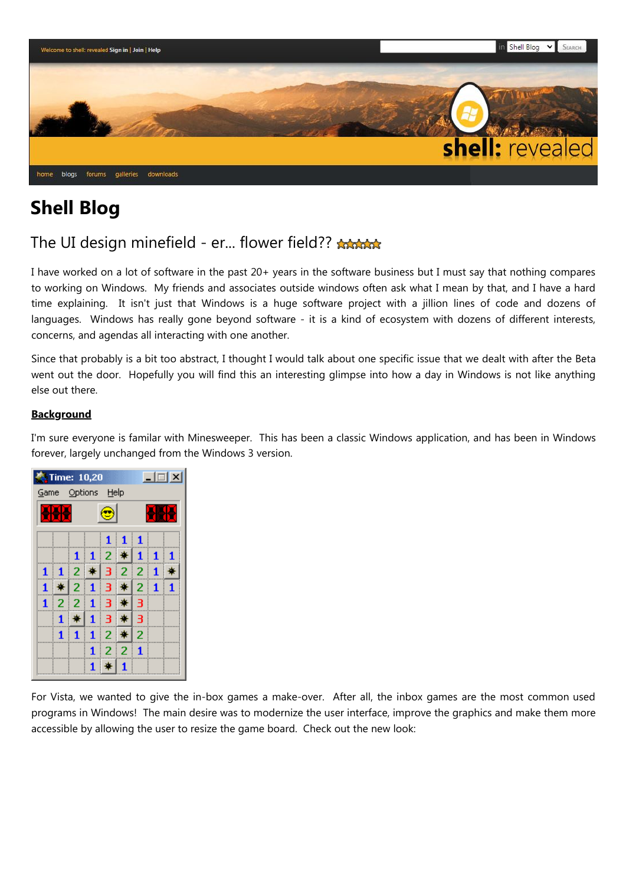

# **Shell Blog**

## The UI design minefield - er... flower field??

I have worked on a lot of software in the past 20+ years in the software business but I must say that nothing compares to working on Windows. My friends and associates outside windows often ask what I mean by that, and I have a hard time explaining. It isn't just that Windows is a huge software project with a jillion lines of code and dozens of languages. Windows has really gone beyond software - it is a kind of ecosystem with dozens of different interests, concerns, and agendas all interacting with one another.

Since that probably is a bit too abstract, I thought I would talk about one specific issue that we dealt with after the Beta went out the door. Hopefully you will find this an interesting glimpse into how a day in Windows is not like anything else out there.

## **Background**

I'm sure everyone is familar with Minesweeper. This has been a classic Windows application, and has been in Windows forever, largely unchanged from the Windows 3 version.



For Vista, we wanted to give the in-box games a make-over. After all, the inbox games are the most common used programs in Windows! The main desire was to modernize the user interface, improve the graphics and make them more accessible by allowing the user to resize the game board. Check out the new look: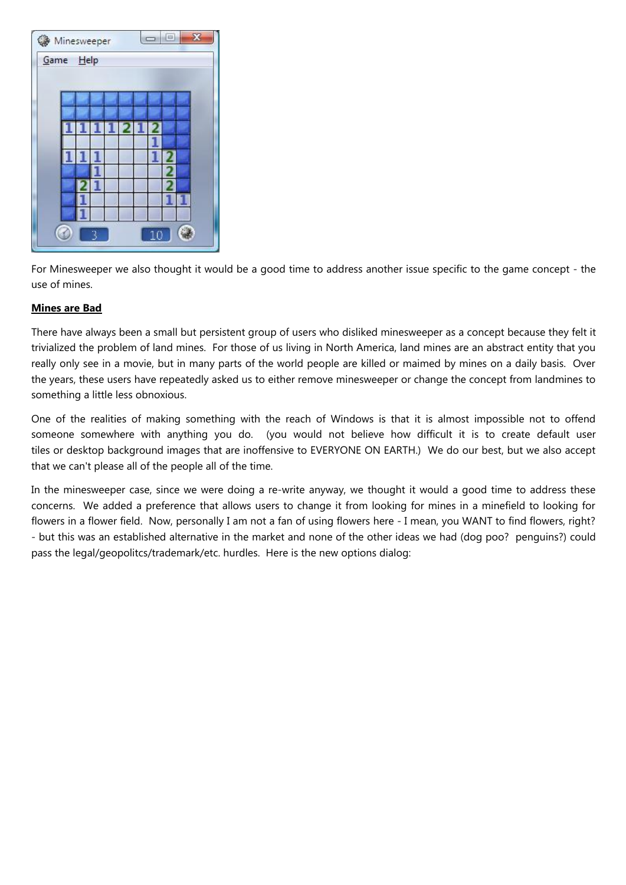

For Minesweeper we also thought it would be a good time to address another issue specific to the game concept - the use of mines.

## **Mines are Bad**

There have always been a small but persistent group of users who disliked minesweeper as a concept because they felt it trivialized the problem of land mines. For those of us living in North America, land mines are an abstract entity that you really only see in a movie, but in many parts of the world people are killed or maimed by mines on a daily basis. Over the years, these users have repeatedly asked us to either remove minesweeper or change the concept from landmines to something a little less obnoxious.

One of the realities of making something with the reach of Windows is that it is almost impossible not to offend someone somewhere with anything you do. (you would not believe how difficult it is to create default user tiles or desktop background images that are inoffensive to EVERYONE ON EARTH.) We do our best, but we also accept that we can't please all of the people all of the time.

In the minesweeper case, since we were doing a re-write anyway, we thought it would a good time to address these concerns. We added a preference that allows users to change it from looking for mines in a minefield to looking for flowers in a flower field. Now, personally I am not a fan of using flowers here - I mean, you WANT to find flowers, right? - but this was an established alternative in the market and none of the other ideas we had (dog poo? penguins?) could pass the legal/geopolitcs/trademark/etc. hurdles. Here is the new options dialog: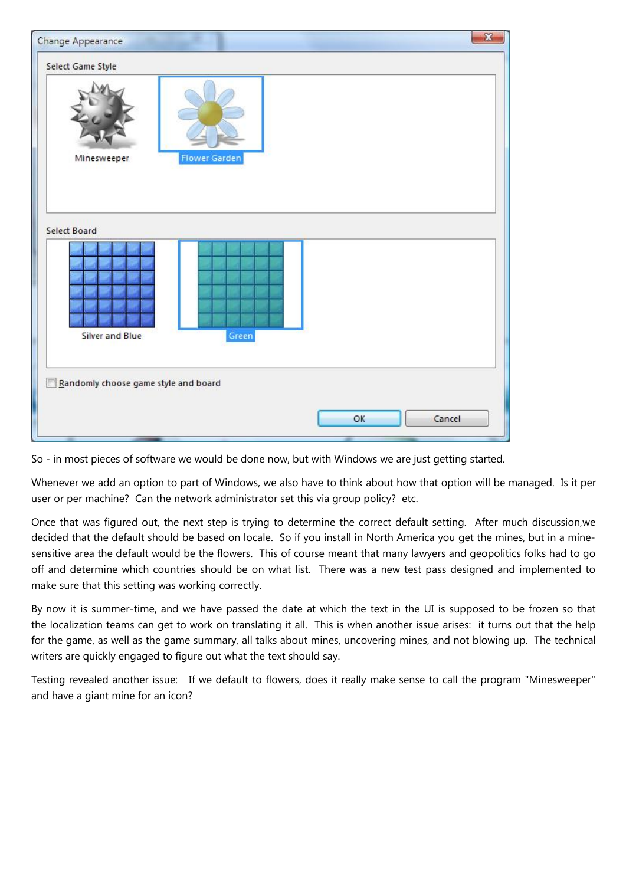

So - in most pieces of software we would be done now, but with Windows we are just getting started.

Whenever we add an option to part of Windows, we also have to think about how that option will be managed. Is it per user or per machine? Can the network administrator set this via group policy? etc.

Once that was figured out, the next step is trying to determine the correct default setting. After much discussion,we decided that the default should be based on locale. So if you install in North America you get the mines, but in a minesensitive area the default would be the flowers. This of course meant that many lawyers and geopolitics folks had to go off and determine which countries should be on what list. There was a new test pass designed and implemented to make sure that this setting was working correctly.

By now it is summer-time, and we have passed the date at which the text in the UI is supposed to be frozen so that the localization teams can get to work on translating it all. This is when another issue arises: it turns out that the help for the game, as well as the game summary, all talks about mines, uncovering mines, and not blowing up. The technical writers are quickly engaged to figure out what the text should say.

Testing revealed another issue: If we default to flowers, does it really make sense to call the program "Minesweeper" and have a giant mine for an icon?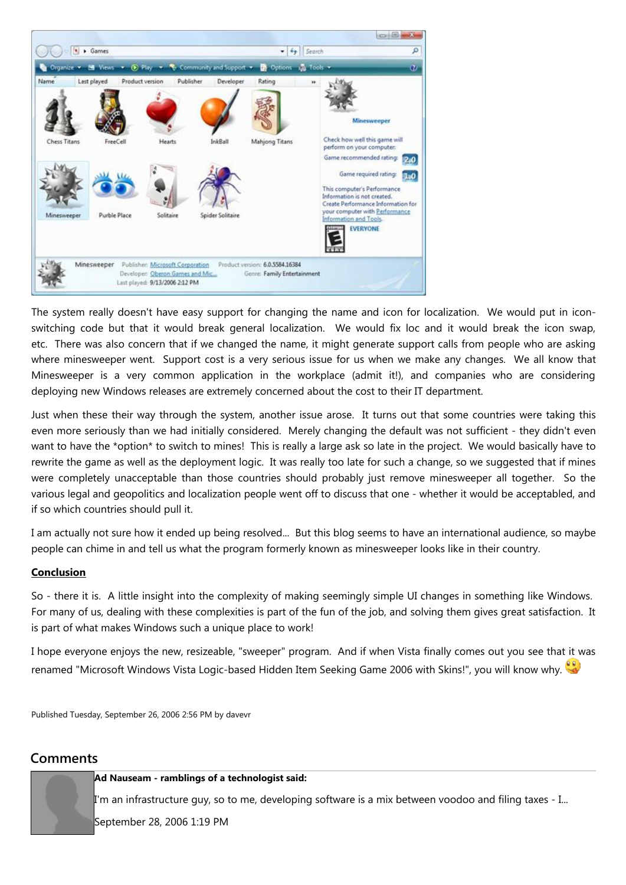

The system really doesn't have easy support for changing the name and icon for localization. We would put in iconswitching code but that it would break general localization. We would fix loc and it would break the icon swap, etc. There was also concern that if we changed the name, it might generate support calls from people who are asking where minesweeper went. Support cost is a very serious issue for us when we make any changes. We all know that Minesweeper is a very common application in the workplace (admit it!), and companies who are considering deploying new Windows releases are extremely concerned about the cost to their IT department.

Just when these their way through the system, another issue arose. It turns out that some countries were taking this even more seriously than we had initially considered. Merely changing the default was not sufficient - they didn't even want to have the \*option\* to switch to mines! This is really a large ask so late in the project. We would basically have to rewrite the game as well as the deployment logic. It was really too late for such a change, so we suggested that if mines were completely unacceptable than those countries should probably just remove minesweeper all together. So the various legal and geopolitics and localization people went off to discuss that one - whether it would be acceptabled, and if so which countries should pull it.

I am actually not sure how it ended up being resolved... But this blog seems to have an international audience, so maybe people can chime in and tell us what the program formerly known as minesweeper looks like in their country.

## **Conclusion**

So - there it is. A little insight into the complexity of making seemingly simple UI changes in something like Windows. For many of us, dealing with these complexities is part of the fun of the job, and solving them gives great satisfaction. It is part of what makes Windows such a unique place to work!

I hope everyone enjoys the new, resizeable, "sweeper" program. And if when Vista finally comes out you see that it was renamed "Microsoft Windows Vista Logic-based Hidden Item Seeking Game 2006 with Skins!", you will know why.

Published Tuesday, September 26, 2006 2:56 PM by davevr

## **Comments**

#### **Ad Nauseam - ramblings of a technologist said:**

I'm an infrastructure guy, so to me, developing software is a mix between voodoo and filing taxes - I...

September 28, 2006 1:19 PM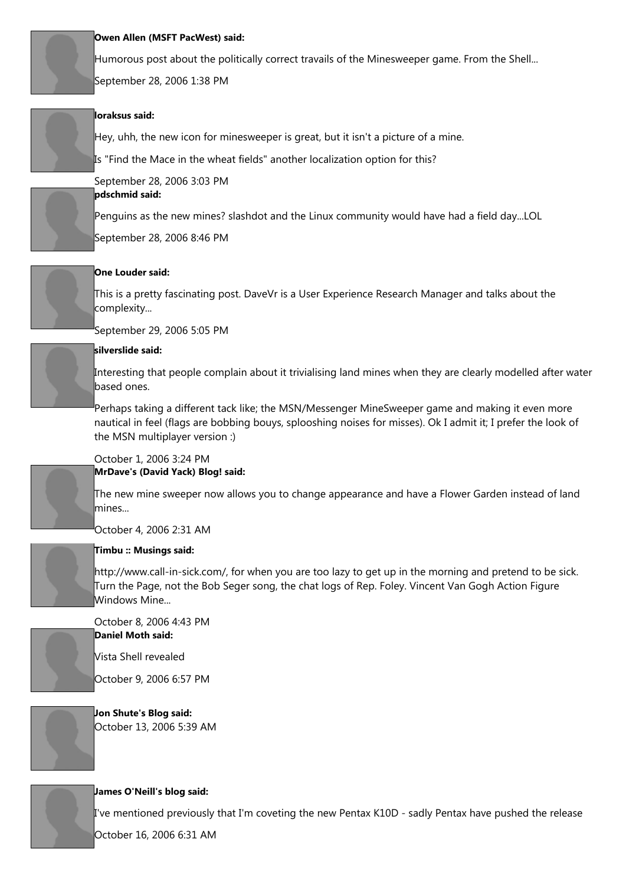

#### **Owen Allen (MSFT PacWest) said:**

Humorous post about the politically correct travails of the Minesweeper game. From the Shell... September 28, 2006 1:38 PM

## **loraksus said:**

Hey, uhh, the new icon for minesweeper is great, but it isn't a picture of a mine.

Is "Find the Mace in the wheat fields" another localization option for this?



#### September 28, 2006 3:03 PM **pdschmid said:**

Penguins as the new mines? slashdot and the Linux community would have had a field day...LOL

September 28, 2006 8:46 PM



## **One Louder said:**

This is a pretty fascinating post. DaveVr is a User Experience Research Manager and talks about the complexity...

September 29, 2006 5:05 PM

## **silverslide said:**

Interesting that people complain about it trivialising land mines when they are clearly modelled after water based ones.

Perhaps taking a different tack like; the MSN/Messenger MineSweeper game and making it even more nautical in feel (flags are bobbing bouys, splooshing noises for misses). Ok I admit it; I prefer the look of the MSN multiplayer version :)



#### October 1, 2006 3:24 PM **MrDave's (David Yack) Blog! said:**

The new mine sweeper now allows you to change appearance and have a Flower Garden instead of land mines...

October 4, 2006 2:31 AM



## **Timbu :: Musings said:**

http://www.call-in-sick.com/, for when you are too lazy to get up in the morning and pretend to be sick. Turn the Page, not the Bob Seger song, the chat logs of Rep. Foley. Vincent Van Gogh Action Figure Windows Mine...



October 8, 2006 4:43 PM **Daniel Moth said:**

Vista Shell revealed

October 9, 2006 6:57 PM

**Jon Shute's Blog said:** October 13, 2006 5:39 AM



## **James O'Neill's blog said:**

I've mentioned previously that I'm coveting the new Pentax K10D - sadly Pentax have pushed the release

October 16, 2006 6:31 AM